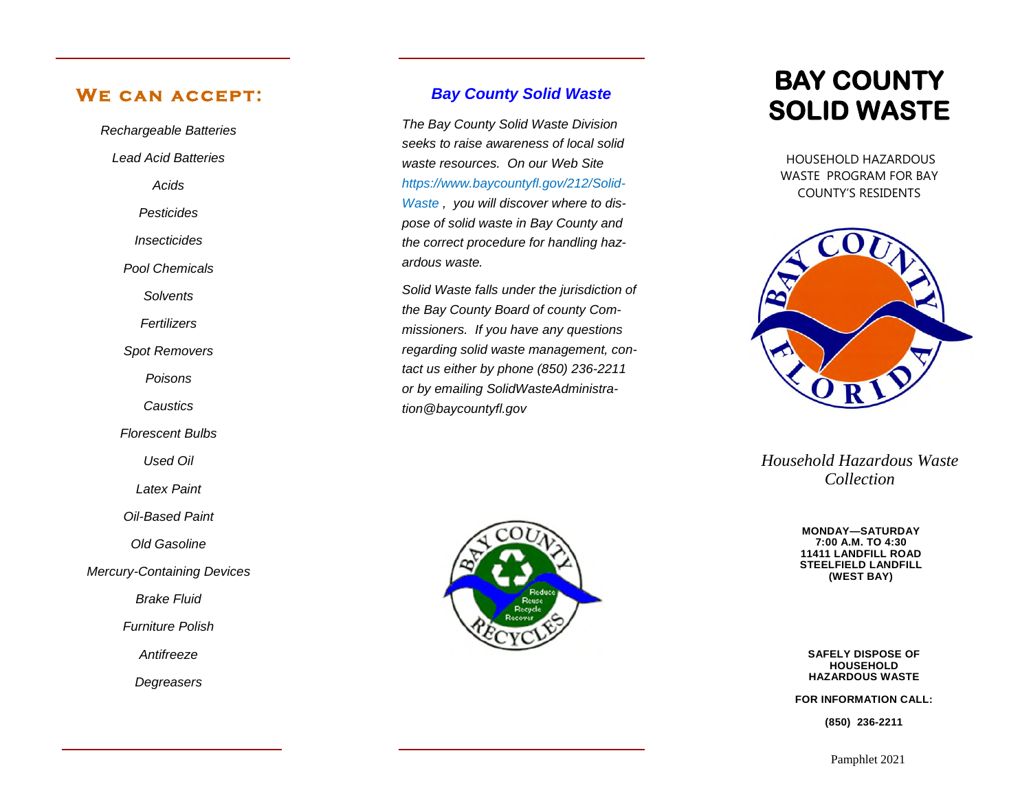## WE CAN ACCEPT:

*Rechargeable Batteries Lead Acid Batteries Acids Pesticides Insecticides Pool Chemicals Solvents Fertilizers Spot Removers Poisons*

*Caustics*

*Florescent Bulbs*

*Used Oil*

*Latex Paint*

*Oil-Based Paint*

*Old Gasoline*

*Mercury-Containing Devices*

*Brake Fluid*

*Furniture Polish*

*Antifreeze*

*Degreasers*

## *Bay County Solid Waste*

*The Bay County Solid Waste Division seeks to raise awareness of local solid waste resources. On our Web Site https://www.baycountyfl.gov/212/Solid-Waste , you will discover where to dispose of solid waste in Bay County and the correct procedure for handling hazardous waste.* 

*Solid Waste falls under the jurisdiction of the Bay County Board of county Commissioners. If you have any questions regarding solid waste management, contact us either by phone (850) 236-2211 or by emailing SolidWasteAdministration@baycountyfl.gov*



# **BAY COUNTY SOLID WASTE**

 HOUSEHOLD HAZARDOUS WASTE PROGRAM FOR BAY COUNTY'S RESIDENTS



*Household Hazardous Waste Collection* 

> **MONDAY—SATURDAY 7:00 A.M. TO 4:30 11411 LANDFILL ROAD STEELFIELD LANDFILL (WEST BAY)**

**SAFELY DISPOSE OF HOUSEHOLD HAZARDOUS WASTE**

**FOR INFORMATION CALL:** 

**(850) 236-2211**